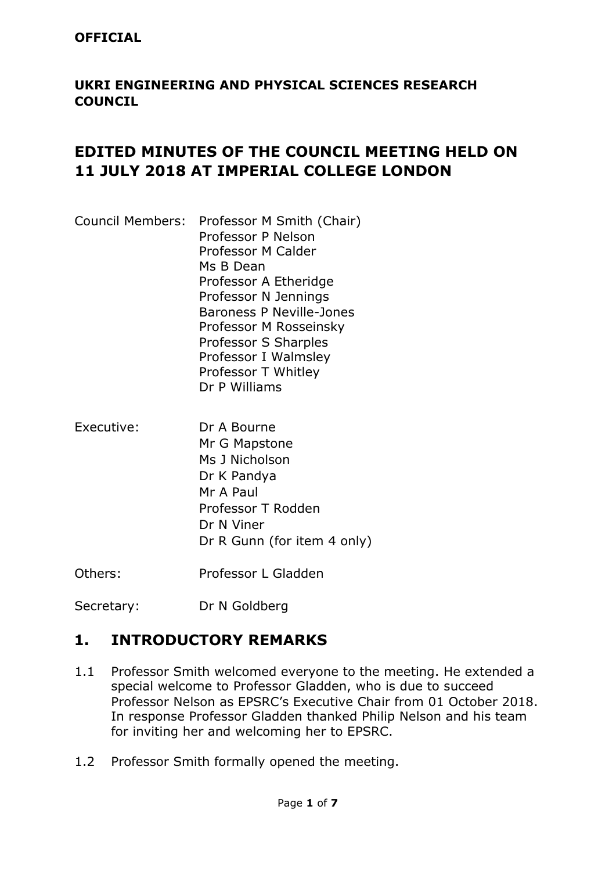#### **OFFICIAL**

### **UKRI ENGINEERING AND PHYSICAL SCIENCES RESEARCH COUNCIL**

## **EDITED MINUTES OF THE COUNCIL MEETING HELD ON 11 JULY 2018 AT IMPERIAL COLLEGE LONDON**

- Council Members: Professor M Smith (Chair) Professor P Nelson Professor M Calder Ms B Dean Professor A Etheridge Professor N Jennings Baroness P Neville-Jones Professor M Rosseinsky Professor S Sharples Professor I Walmsley Professor T Whitley Dr P Williams
- Executive: Dr A Bourne Mr G Mapstone Ms J Nicholson Dr K Pandya Mr A Paul Professor T Rodden Dr N Viner Dr R Gunn (for item 4 only)

Others: Professor L Gladden

Secretary: Dr N Goldberg

## **1. INTRODUCTORY REMARKS**

- 1.1 Professor Smith welcomed everyone to the meeting. He extended a special welcome to Professor Gladden, who is due to succeed Professor Nelson as EPSRC's Executive Chair from 01 October 2018. In response Professor Gladden thanked Philip Nelson and his team for inviting her and welcoming her to EPSRC.
- 1.2 Professor Smith formally opened the meeting.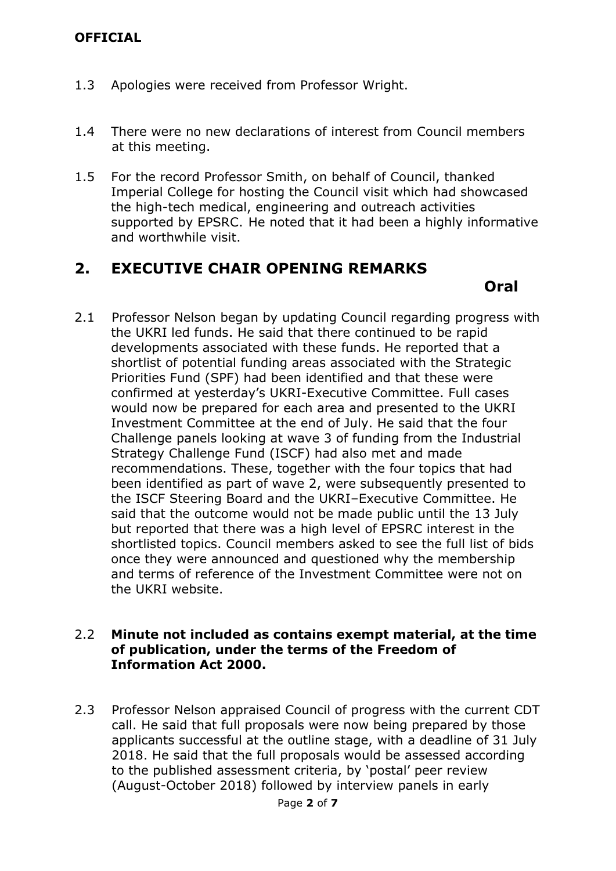- 1.3 Apologies were received from Professor Wright.
- 1.4 There were no new declarations of interest from Council members at this meeting.
- 1.5 For the record Professor Smith, on behalf of Council, thanked Imperial College for hosting the Council visit which had showcased the high-tech medical, engineering and outreach activities supported by EPSRC. He noted that it had been a highly informative and worthwhile visit.

### **2. EXECUTIVE CHAIR OPENING REMARKS**

 *Oral*  **Oral**  *Oral**A* 

2.1 Professor Nelson began by updating Council regarding progress with the UKRI led funds. He said that there continued to be rapid developments associated with these funds. He reported that a shortlist of potential funding areas associated with the Strategic Priorities Fund (SPF) had been identified and that these were confirmed at yesterday's UKRI-Executive Committee. Full cases would now be prepared for each area and presented to the UKRI Investment Committee at the end of July. He said that the four Challenge panels looking at wave 3 of funding from the Industrial Strategy Challenge Fund (ISCF) had also met and made recommendations. These, together with the four topics that had been identified as part of wave 2, were subsequently presented to the ISCF Steering Board and the UKRI–Executive Committee. He said that the outcome would not be made public until the 13 July but reported that there was a high level of EPSRC interest in the shortlisted topics. Council members asked to see the full list of bids once they were announced and questioned why the membership and terms of reference of the Investment Committee were not on the UKRI website.

#### 2.2 **Minute not included as contains exempt material, at the time of publication, under the terms of the Freedom of Information Act 2000.**

2.3 Professor Nelson appraised Council of progress with the current CDT call. He said that full proposals were now being prepared by those applicants successful at the outline stage, with a deadline of 31 July 2018. He said that the full proposals would be assessed according to the published assessment criteria, by 'postal' peer review (August-October 2018) followed by interview panels in early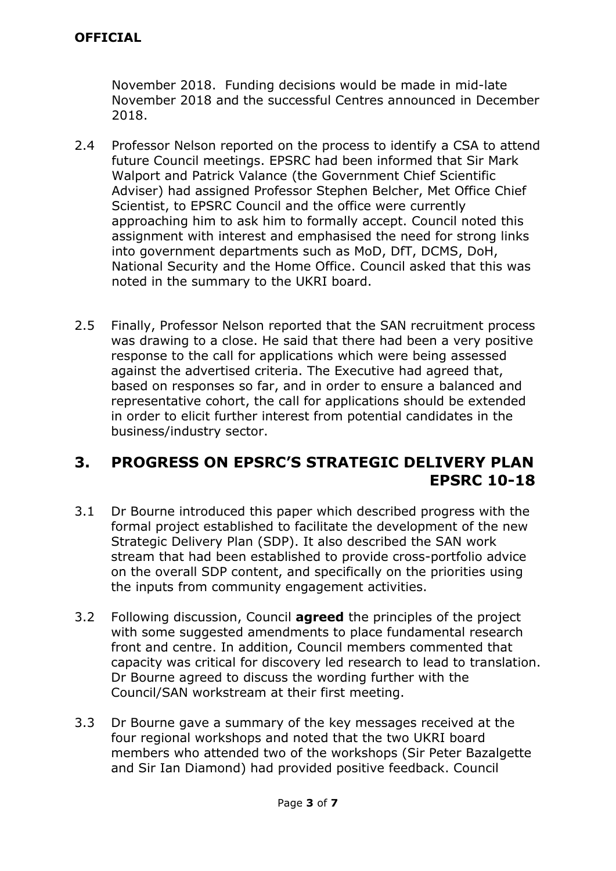November 2018. Funding decisions would be made in mid-late November 2018 and the successful Centres announced in December 2018.

- 2.4 Professor Nelson reported on the process to identify a CSA to attend future Council meetings. EPSRC had been informed that Sir Mark Walport and Patrick Valance (the Government Chief Scientific Adviser) had assigned Professor Stephen Belcher, Met Office Chief Scientist, to EPSRC Council and the office were currently approaching him to ask him to formally accept. Council noted this assignment with interest and emphasised the need for strong links into government departments such as MoD, DfT, DCMS, DoH, National Security and the Home Office. Council asked that this was noted in the summary to the UKRI board.
- 2.5 Finally, Professor Nelson reported that the SAN recruitment process was drawing to a close. He said that there had been a very positive response to the call for applications which were being assessed against the advertised criteria. The Executive had agreed that, based on responses so far, and in order to ensure a balanced and representative cohort, the call for applications should be extended in order to elicit further interest from potential candidates in the business/industry sector.

### **3. PROGRESS ON EPSRC'S STRATEGIC DELIVERY PLAN EPSRC 10-18**

- 3.1 Dr Bourne introduced this paper which described progress with the formal project established to facilitate the development of the new Strategic Delivery Plan (SDP). It also described the SAN work stream that had been established to provide cross-portfolio advice on the overall SDP content, and specifically on the priorities using the inputs from community engagement activities.
- 3.2 Following discussion, Council **agreed** the principles of the project with some suggested amendments to place fundamental research front and centre. In addition, Council members commented that capacity was critical for discovery led research to lead to translation. Dr Bourne agreed to discuss the wording further with the Council/SAN workstream at their first meeting.
- 3.3 Dr Bourne gave a summary of the key messages received at the four regional workshops and noted that the two UKRI board members who attended two of the workshops (Sir Peter Bazalgette and Sir Ian Diamond) had provided positive feedback. Council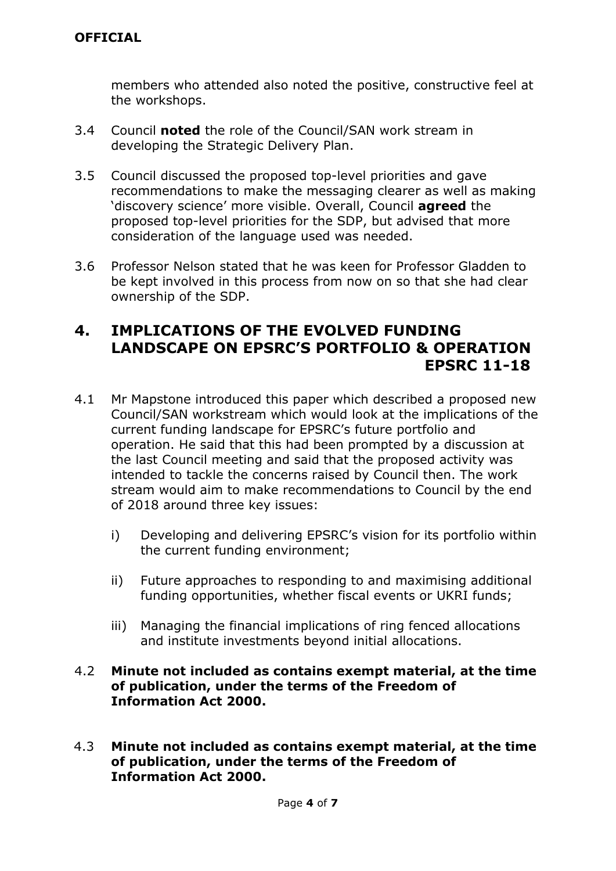members who attended also noted the positive, constructive feel at the workshops.

- 3.4 Council **noted** the role of the Council/SAN work stream in developing the Strategic Delivery Plan.
- 3.5 Council discussed the proposed top-level priorities and gave recommendations to make the messaging clearer as well as making 'discovery science' more visible. Overall, Council **agreed** the proposed top-level priorities for the SDP, but advised that more consideration of the language used was needed.
- 3.6 Professor Nelson stated that he was keen for Professor Gladden to be kept involved in this process from now on so that she had clear ownership of the SDP.

### **4. IMPLICATIONS OF THE EVOLVED FUNDING LANDSCAPE ON EPSRC'S PORTFOLIO & OPERATION EPSRC 11-18**

- 4.1 Mr Mapstone introduced this paper which described a proposed new Council/SAN workstream which would look at the implications of the current funding landscape for EPSRC's future portfolio and operation. He said that this had been prompted by a discussion at the last Council meeting and said that the proposed activity was intended to tackle the concerns raised by Council then. The work stream would aim to make recommendations to Council by the end of 2018 around three key issues:
	- i) Developing and delivering EPSRC's vision for its portfolio within the current funding environment;
	- ii) Future approaches to responding to and maximising additional funding opportunities, whether fiscal events or UKRI funds;
	- iii) Managing the financial implications of ring fenced allocations and institute investments beyond initial allocations.

#### 4.2 **Minute not included as contains exempt material, at the time of publication, under the terms of the Freedom of Information Act 2000.**

4.3 **Minute not included as contains exempt material, at the time of publication, under the terms of the Freedom of Information Act 2000.**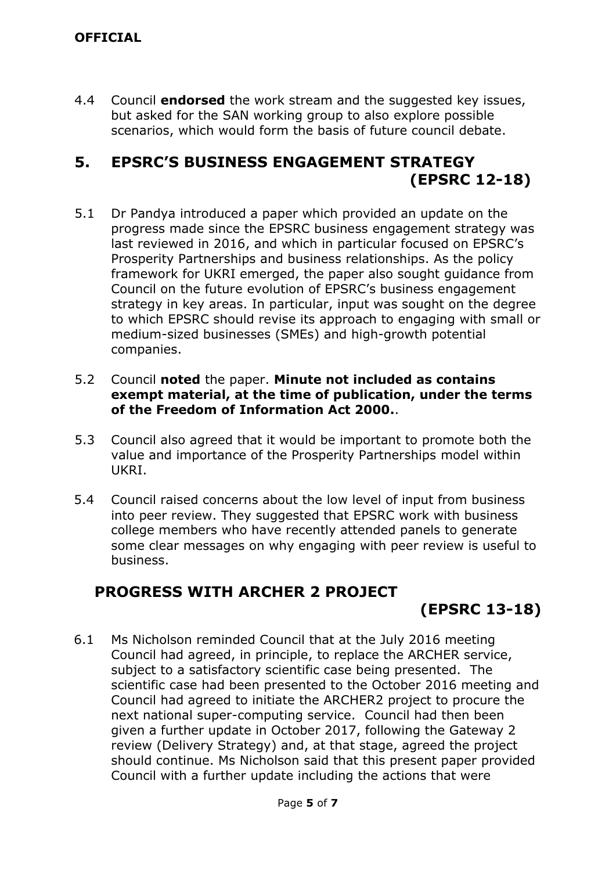4.4 Council **endorsed** the work stream and the suggested key issues, but asked for the SAN working group to also explore possible scenarios, which would form the basis of future council debate.

## **5. EPSRC'S BUSINESS ENGAGEMENT STRATEGY (EPSRC 12-18)**

5.1 Dr Pandya introduced a paper which provided an update on the progress made since the EPSRC business engagement strategy was last reviewed in 2016, and which in particular focused on EPSRC's Prosperity Partnerships and business relationships. As the policy framework for UKRI emerged, the paper also sought guidance from Council on the future evolution of EPSRC's business engagement strategy in key areas. In particular, input was sought on the degree to which EPSRC should revise its approach to engaging with small or medium-sized businesses (SMEs) and high-growth potential companies.

#### 5.2 Council **noted** the paper. **Minute not included as contains exempt material, at the time of publication, under the terms of the Freedom of Information Act 2000.**.

- 5.3 Council also agreed that it would be important to promote both the value and importance of the Prosperity Partnerships model within UKRI.
- 5.4 Council raised concerns about the low level of input from business into peer review. They suggested that EPSRC work with business college members who have recently attended panels to generate some clear messages on why engaging with peer review is useful to business.

# **PROGRESS WITH ARCHER 2 PROJECT**

# **(EPSRC 13-18)**

6.1 Ms Nicholson reminded Council that at the July 2016 meeting Council had agreed, in principle, to replace the ARCHER service, subject to a satisfactory scientific case being presented. The scientific case had been presented to the October 2016 meeting and Council had agreed to initiate the ARCHER2 project to procure the next national super-computing service. Council had then been given a further update in October 2017, following the Gateway 2 review (Delivery Strategy) and, at that stage, agreed the project should continue. Ms Nicholson said that this present paper provided Council with a further update including the actions that were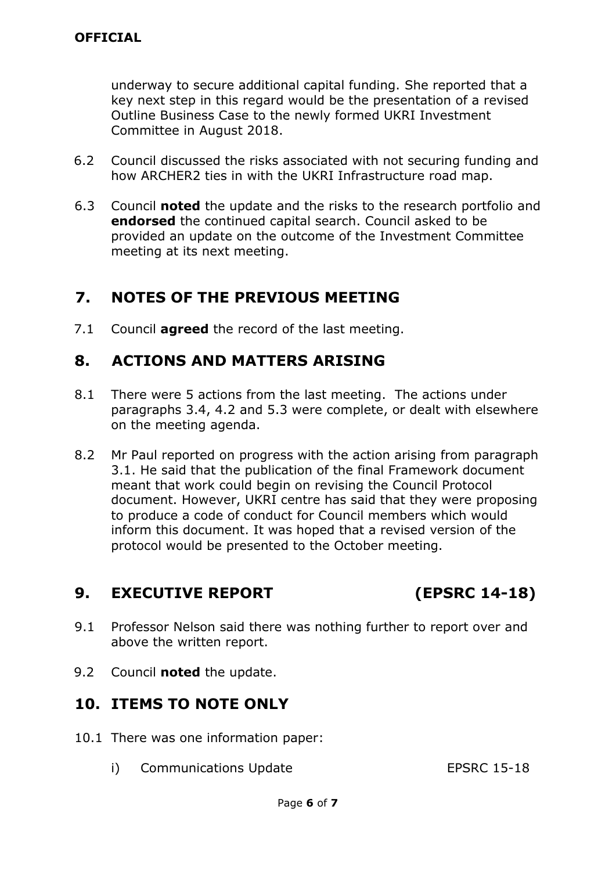underway to secure additional capital funding. She reported that a key next step in this regard would be the presentation of a revised Outline Business Case to the newly formed UKRI Investment Committee in August 2018.

- 6.2 Council discussed the risks associated with not securing funding and how ARCHER2 ties in with the UKRI Infrastructure road map.
- 6.3 Council **noted** the update and the risks to the research portfolio and **endorsed** the continued capital search. Council asked to be provided an update on the outcome of the Investment Committee meeting at its next meeting.

## **7. NOTES OF THE PREVIOUS MEETING**

7.1 Council **agreed** the record of the last meeting.

# **8. ACTIONS AND MATTERS ARISING**

- 8.1 There were 5 actions from the last meeting. The actions under paragraphs 3.4, 4.2 and 5.3 were complete, or dealt with elsewhere on the meeting agenda.
- 8.2 Mr Paul reported on progress with the action arising from paragraph 3.1. He said that the publication of the final Framework document meant that work could begin on revising the Council Protocol document. However, UKRI centre has said that they were proposing to produce a code of conduct for Council members which would inform this document. It was hoped that a revised version of the protocol would be presented to the October meeting.

## **9. EXECUTIVE REPORT (EPSRC 14-18)**

- 9.1 Professor Nelson said there was nothing further to report over and above the written report.
- 9.2 Council **noted** the update.

# **10. ITEMS TO NOTE ONLY**

- 10.1 There was one information paper:
	- i) Communications Update EPSRC 15-18